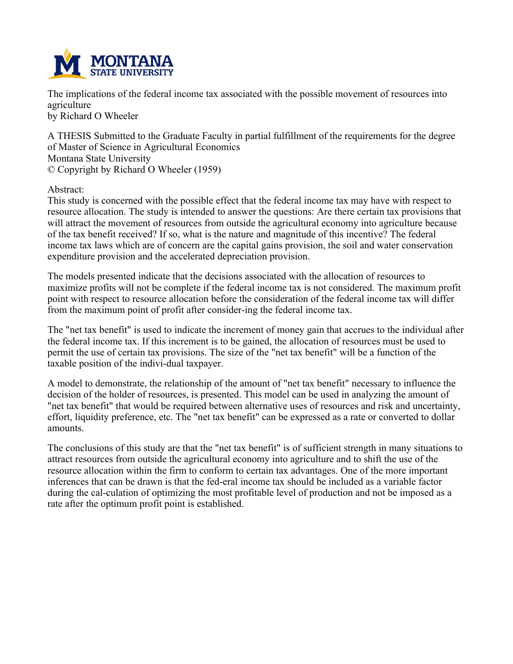

**The implications of the federal income tax associated with the possible movement of resources into agriculture**

**by Richard O Wheeler**

**A THESIS Submitted to the Graduate Faculty in partial fulfillment of the requirements for the degree of Master of Science in Agricultural Economics Montana State University © Copyright by Richard O Wheeler (1959)**

**Abstract:**

This study is concerned with the possible effect that the federal income tax may have with respect to **resource allocation. The study is intended to answer the questions: Are there certain tax provisions that will attract the movement of resources from outside the agricultural economy into agriculture because** of the tax benefit received? If so, what is the nature and magnitude of this incentive? The federal **income tax laws which are of concern are the capital gains provision, the soil and water conservation expenditure provision and the accelerated depreciation provision.**

**The models presented indicate that the decisions associated with the allocation of resources to maximize profits will not be complete if the federal income tax is not considered. The maximum profit point with respect to resource allocation before the consideration of the federal income tax will differ from the maximum point of profit after consider-ing the federal income tax.**

The "net tax benefit" is used to indicate the increment of money gain that accrues to the individual after the federal income tax. If this increment is to be gained, the allocation of resources must be used to permit the use of certain tax provisions. The size of the "net tax benefit" will be a function of the **taxable position of the indivi-dual taxpayer.**

**A model to demonstrate, the relationship of the amount of "net tax benefit" necessary to influence the** decision of the holder of resources, is presented. This model can be used in analyzing the amount of **"net tax benefit" that would be required between alternative uses of resources and risk and uncertainty,** effort, liquidity preference, etc. The "net tax benefit" can be expressed as a rate or converted to dollar **amounts.**

The conclusions of this study are that the "net tax benefit" is of sufficient strength in many situations to **attract resources from outside the agricultural economy into agriculture and to shift the use of the resource allocation within the firm to conform to certain tax advantages. One of the more important** inferences that can be drawn is that the fed-eral income tax should be included as a variable factor **during the cal-culation of optimizing the most profitable level of production and not be imposed as a rate after the optimum profit point is established.**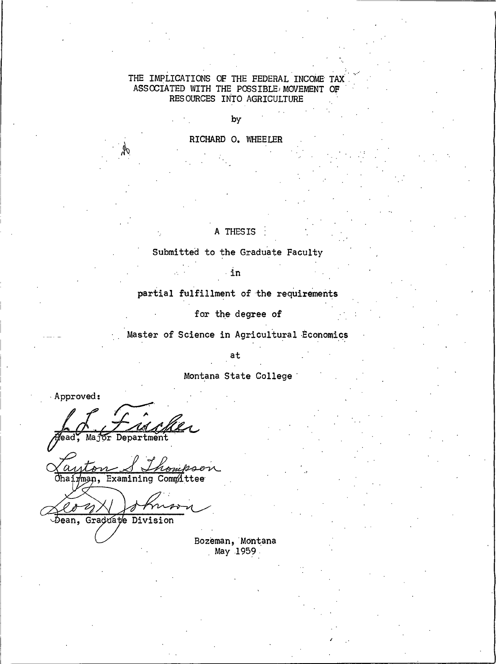## THE IMPLICATIONS OF THE FEDERAL INCOME TAX ASSOCIATED WITH THE POSSIBLE MOVEMENT OF RESOURCES INTO AGRICULTURE

by RICHARD O. WHEELER

## A THESIS

Submitted to the Graduate Faculty

in

partial fulfillment of the requirements

for the degree of

Master of Science in Agricultural Economics

 $at$ 

Montana State College

Approved:

'ls

Major Department

Chairman, Examining Committee

Dean, Graduate Division

Bozeman, Montana May 1959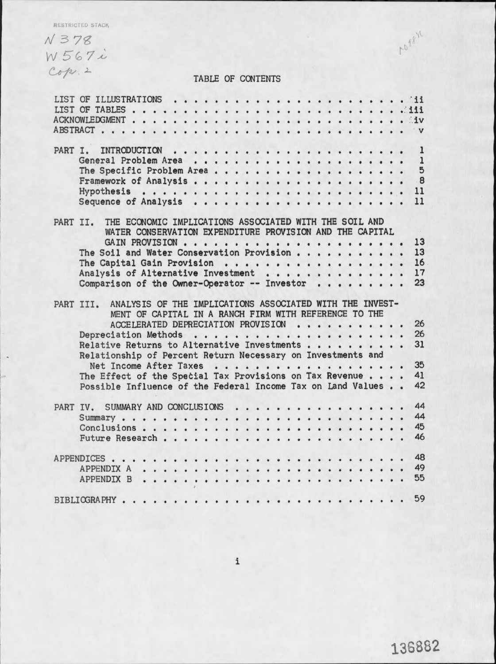RESTRICTED STACK

 $N378$ W 567i  $Cop.2$ 

# TABLE OF CONTENTS

| PART I. |                                                                    |                                                          |                                                       |  |  |  |  |  |  |  |  |  |  |  | $\mathbf{1}$            |
|---------|--------------------------------------------------------------------|----------------------------------------------------------|-------------------------------------------------------|--|--|--|--|--|--|--|--|--|--|--|-------------------------|
|         |                                                                    |                                                          |                                                       |  |  |  |  |  |  |  |  |  |  |  | $\mathbf{1}$            |
|         | The Specific Problem Area                                          |                                                          |                                                       |  |  |  |  |  |  |  |  |  |  |  | 5                       |
|         |                                                                    |                                                          |                                                       |  |  |  |  |  |  |  |  |  |  |  | $\overline{\mathbf{8}}$ |
|         |                                                                    |                                                          |                                                       |  |  |  |  |  |  |  |  |  |  |  |                         |
|         |                                                                    |                                                          |                                                       |  |  |  |  |  |  |  |  |  |  |  |                         |
|         |                                                                    |                                                          |                                                       |  |  |  |  |  |  |  |  |  |  |  | 11                      |
|         |                                                                    |                                                          |                                                       |  |  |  |  |  |  |  |  |  |  |  |                         |
|         | PART II.                                                           | THE ECONOMIC IMPLICATIONS ASSOCIATED WITH THE SOIL AND   |                                                       |  |  |  |  |  |  |  |  |  |  |  |                         |
|         |                                                                    | WATER CONSERVATION EXPENDITURE PROVISION AND THE CAPITAL |                                                       |  |  |  |  |  |  |  |  |  |  |  |                         |
|         |                                                                    |                                                          |                                                       |  |  |  |  |  |  |  |  |  |  |  | 13                      |
|         | The Soil and Water Conservation Provision                          |                                                          |                                                       |  |  |  |  |  |  |  |  |  |  |  | 13                      |
|         | The Capital Gain Provision                                         |                                                          |                                                       |  |  |  |  |  |  |  |  |  |  |  | 16                      |
|         | Analysis of Alternative Investment                                 |                                                          |                                                       |  |  |  |  |  |  |  |  |  |  |  | 17                      |
|         | Comparison of the Owner-Operator -- Investor                       |                                                          |                                                       |  |  |  |  |  |  |  |  |  |  |  | 23                      |
|         |                                                                    |                                                          |                                                       |  |  |  |  |  |  |  |  |  |  |  |                         |
|         |                                                                    |                                                          |                                                       |  |  |  |  |  |  |  |  |  |  |  |                         |
|         | PART III. ANALYSIS OF THE IMPLICATIONS ASSOCIATED WITH THE INVEST- |                                                          |                                                       |  |  |  |  |  |  |  |  |  |  |  |                         |
|         |                                                                    |                                                          | MENT OF CAPITAL IN A RANCH FIRM WITH REFERENCE TO THE |  |  |  |  |  |  |  |  |  |  |  |                         |
|         |                                                                    |                                                          | ACCELERATED DEPRECIATION PROVISION                    |  |  |  |  |  |  |  |  |  |  |  | 26                      |
|         |                                                                    |                                                          |                                                       |  |  |  |  |  |  |  |  |  |  |  | 26                      |
|         | Relative Returns to Alternative Investments                        |                                                          |                                                       |  |  |  |  |  |  |  |  |  |  |  | 31                      |
|         | Relationship of Percent Return Necessary on Investments and        |                                                          |                                                       |  |  |  |  |  |  |  |  |  |  |  |                         |
|         |                                                                    | Net Income After Taxes                                   |                                                       |  |  |  |  |  |  |  |  |  |  |  | 35                      |
|         | The Effect of the Special Tax Provisions on Tax Revenue            |                                                          |                                                       |  |  |  |  |  |  |  |  |  |  |  | 41                      |
|         | Possible Influence of the Federal Income Tax on Land Values        |                                                          |                                                       |  |  |  |  |  |  |  |  |  |  |  | 42                      |
|         |                                                                    |                                                          |                                                       |  |  |  |  |  |  |  |  |  |  |  |                         |
|         |                                                                    |                                                          |                                                       |  |  |  |  |  |  |  |  |  |  |  | 44                      |
|         | PART IV. SUMMARY AND CONCLUSIONS                                   |                                                          |                                                       |  |  |  |  |  |  |  |  |  |  |  | 44                      |
|         |                                                                    |                                                          |                                                       |  |  |  |  |  |  |  |  |  |  |  |                         |
|         |                                                                    |                                                          |                                                       |  |  |  |  |  |  |  |  |  |  |  | 45                      |
|         |                                                                    |                                                          |                                                       |  |  |  |  |  |  |  |  |  |  |  | 46                      |
|         |                                                                    |                                                          |                                                       |  |  |  |  |  |  |  |  |  |  |  |                         |
|         |                                                                    |                                                          |                                                       |  |  |  |  |  |  |  |  |  |  |  | 48                      |
|         |                                                                    |                                                          |                                                       |  |  |  |  |  |  |  |  |  |  |  | 49                      |
|         |                                                                    |                                                          |                                                       |  |  |  |  |  |  |  |  |  |  |  | 55                      |
|         |                                                                    |                                                          |                                                       |  |  |  |  |  |  |  |  |  |  |  |                         |
|         |                                                                    |                                                          |                                                       |  |  |  |  |  |  |  |  |  |  |  | 59                      |
|         |                                                                    |                                                          |                                                       |  |  |  |  |  |  |  |  |  |  |  |                         |

1098.21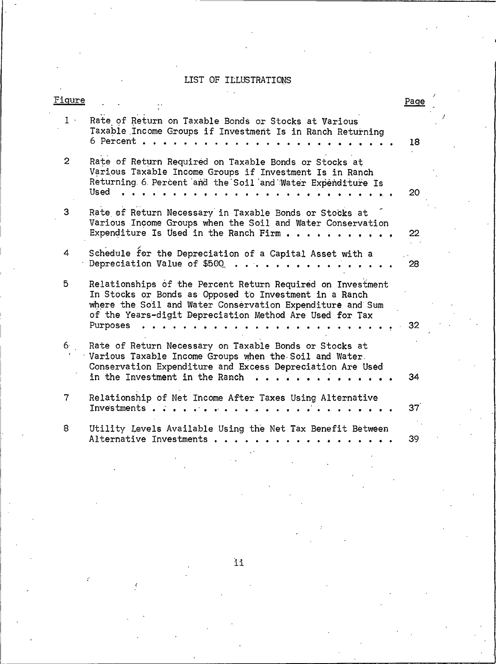## LIST OF ILLUSTRATIONS

 $\tilde{\lambda}$  ,

| Figure         |                                                                                                                                                                                                                                                                                                                 | Page            |
|----------------|-----------------------------------------------------------------------------------------------------------------------------------------------------------------------------------------------------------------------------------------------------------------------------------------------------------------|-----------------|
| $1 \times$     | Rate of Return on Taxable Bonds or Stocks at Various<br>Taxable Income Groups if Investment Is in Ranch Returning<br>6 Percent.                                                                                                                                                                                 | 18              |
| $\overline{2}$ | Rate of Return Required on Taxable Bonds or Stocks at<br>Various Taxable Income Groups if Investment Is in Ranch<br>Returning 6 Percent and the Soil and Water Expenditure Is<br>Used                                                                                                                           | 20              |
| 3              | Rate of Return Necessary in Taxable Bonds or Stocks at<br>Various Income Groups when the Soil and Water Conservation<br>Expenditure Is Used in the Ranch Firm $\cdots$ $\cdots$ $\cdots$                                                                                                                        | 22              |
| 4              | Schedule for the Depreciation of a Capital Asset with a<br>Depreciation Value of \$500                                                                                                                                                                                                                          | 28              |
| 5              | Relationships of the Percent Return Required on Investment<br>In Stocks or Bonds as Opposed to Investment in a Ranch<br>where the Soil and Water Conservation Expenditure and Sum<br>of the Years-digit Depreciation Method Are Used for Tax<br>Purposes<br>$\mathbf{A}$ $\mathbf{A}$ $\mathbf{A}$ $\mathbf{A}$ | 32              |
| 6.             | Rate of Return Necessary on Taxable Bonds or Stocks at<br>Various Taxable Income Groups when the Soil and Water.<br>Conservation Expenditure and Excess Depreciation Are Used<br>in the Investment in the Ranch                                                                                                 | 34              |
| 7              | Relationship of Net Income After Taxes Using Alternative<br>Investments                                                                                                                                                                                                                                         | 37 <sup>°</sup> |
| 8              | Utility Levels Available Using the Net Tax Benefit Between<br>Alternative Investments                                                                                                                                                                                                                           | 39              |
|                |                                                                                                                                                                                                                                                                                                                 |                 |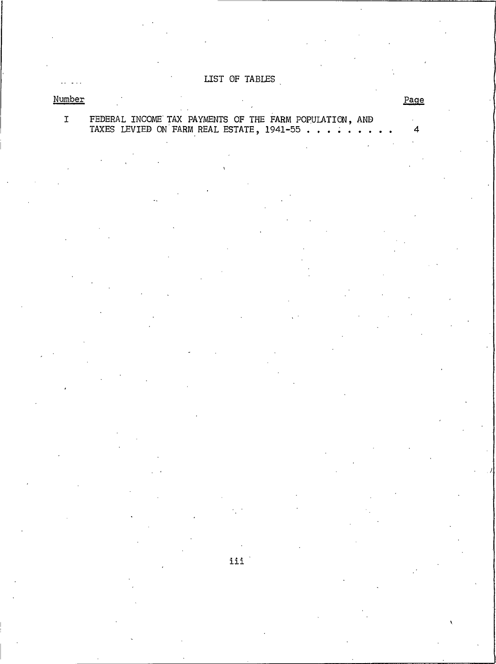LIST OF TABLES

Page

 $\overline{a}$  $\overline{4}$ 

## Number

# FEDERAL INCOME TAX PAYMENTS OF THE FARM POPULATION, AND TAXES LEVIED ON FARM REAL ESTATE,  $1941-55$ ......  $\overline{1}$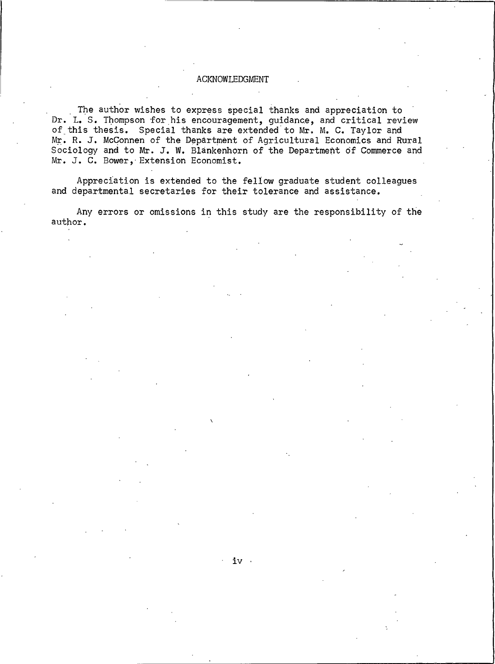#### ACKNOWLEDGMENT

The author wishes to express special thanks and appreciation to Dr. L. S. Thompson for his encouragement, guidance, and critical review of this thesis. Special thanks are extended to Mr. M. C. Taylor and Mr. R. J. McConnen of the Department of Agricultural Economics and Rural Sociology and to Mr. J. W. Blankenhorn of the Department of Commerce and Mr. J. C. Bower, Extension Economist.

Appreciation is extended to the fellow graduate student colleagues and departmental secretaries for their tolerance and assistance.

Any errors or omissions in this study are the responsibility of the author.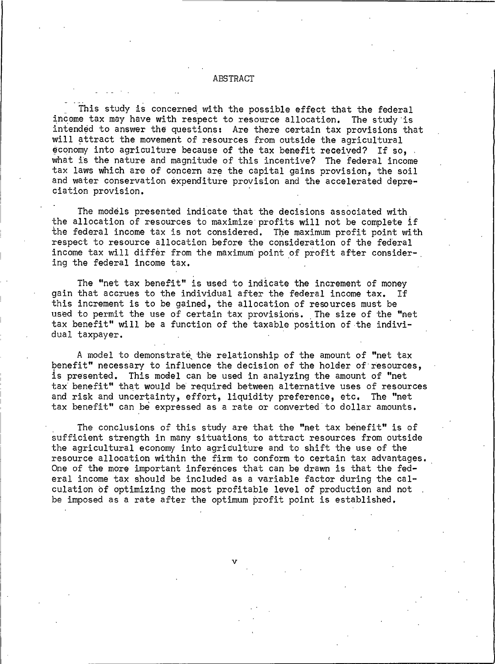#### ABSTRACT

This study is concerned with the possible effect that the federal income tax may have with respect to resource allocation. The study is intended to answer the questions: Are there certain tax provisions that will attract the movement of resources from outside the agricultural economy into agriculture because of the tax benefit received? If so. what is the nature and magnitude of this incentive? The federal income tax laws which are of concern are the capital gains provision, the soil and water conservation expenditure provision and the accelerated depreciation provision.

The models presented indicate that the decisions associated with the allocation of resources to maximize profits will not be complete if the federal income tax is not considered. The maximum profit point with respect to resource allocation before the consideration of the federal income tax will differ from the maximum point of profit after considering the federal income tax.

The "net tax benefit" is used to indicate the increment of money gain that accrues to the individual after the federal income tax. Τf this increment is to be gained, the allocation of resources must be used to permit the use of certain tax provisions. The size of the "net tax benefit" will be a function of the taxable position of the individual taxpayer.

A model to demonstrate the relationship of the amount of "net tax benefit" necessary to influence the decision of the holder of resources. is presented. This model can be used in analyzing the amount of "net tax benefit" that would be required between alternative uses of resources and risk and uncertainty, effort, liquidity preference, etc. The "net tax benefit" can be expressed as a rate or converted to dollar amounts.

The conclusions of this study are that the "net tax benefit" is of sufficient strength in many situations to attract resources from outside the agricultural economy into agriculture and to shift the use of the resource allocation within the firm to conform to certain tax advantages. One of the more important inferences that can be drawn is that the federal income tax should be included as a variable factor during the calculation of optimizing the most profitable level of production and not. be imposed as a rate after the optimum profit point is established.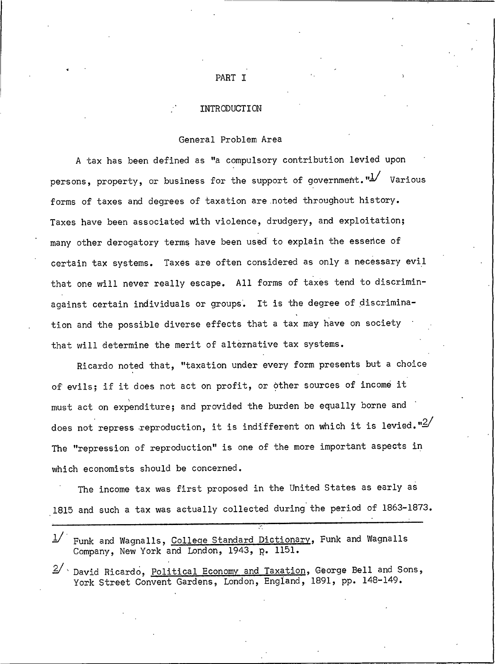#### INTRODUCTION

#### General Problem Area

A tax has been defined as "a compulsory contribution levied upon persons, property, or business for the support of government.  $\frac{n!}{2}$  Various forms of taxes and degrees of taxation are noted throughout history. Taxes have been associated with violence, drudgery, and exploitation; many other derogatory terms have been used to explain the essence of certain tax systems. Taxes are often considered as only a necessary evil that one will never really escape. All forms of taxes tend to discriminagainst certain individuals or groups. It is the degree of discrimination and the possible diverse effects that a tax may have on society that will determine the merit of alternative tax systems.

Ricardo noted that, "taxation under every form presents but a choice of evils; if it does not act on profit, or other sources of income it must act on expenditure; and provided the burden be equally borne and does not repress reproduction, it is indifferent on which it is levied. " $2/$ The "repression of reproduction" is one of the more important aspects in which economists should be concerned.

The income tax was first proposed in the United States as early as 1815 and such a tax was actually collected during the period of 1863-1873.

|  | 1/ Funk and Wagnalls, College Standard Dictionary, Funk and Wagnalls |  |  |  |
|--|----------------------------------------------------------------------|--|--|--|
|  | Company, New York and London, 1943, p. 1151.                         |  |  |  |

David Ricardo, Political Economy and Taxation, George Bell and Sons, York Street Convent Gardens, London, England, 1891, pp. 148-149.

## PART I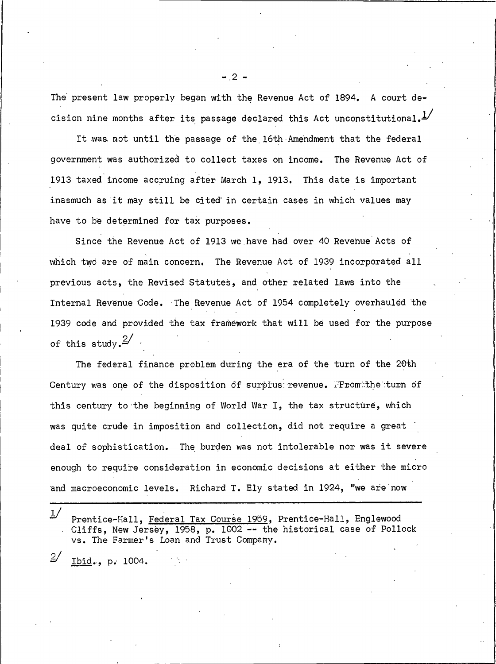The present law properly began with the Revenue Act of 1894. A court decision nine months after its passage declared this Act unconstitutional. $\frac{1}{2}$ 

It was not until the passage of the 16th Amendment that the federal government was authorized to collect taxes on income. The Revenue Act of 1913 taxed income accruing after March 1, 1913. This date is important inasmuch as it may still be cited in certain cases in which values may have to be determined for tax purposes.

Since the Revenue Act of 1913 we have had over 40 Revenue Acts of which two are of main concern. The Revenue Act of 1939 incorporated all previous acts, the Revised Statutes, and other related laws into the Internal Revenue Code. The Revenue Act of 1954 completely overhauled the 1939 code and provided the tax framework that will be used for the purpose of this study.  $\frac{2}{ }$ 

The federal finance problem during the era of the turn of the 20th Century was one of the disposition of surplus revenue. From the turn of this century to the beginning of World War I, the tax structure, which was quite crude in imposition and collection, did not require a great deal of sophistication. The burden was not intolerable nor was it severe enough to require consideration in economic decisions at either the micro and macroeconomic levels. Richard T. Ely stated in 1924, "we are now

 $1/$ Prentice-Hall, Federal Tax Course 1959, Prentice-Hall, Englewood Cliffs, New Jersey, 1958, p. 1002 -- the historical case of Pollock vs. The Farmer's Loan and Trust Company.

 $2/$ Ibid., p. 1004.  $-2-$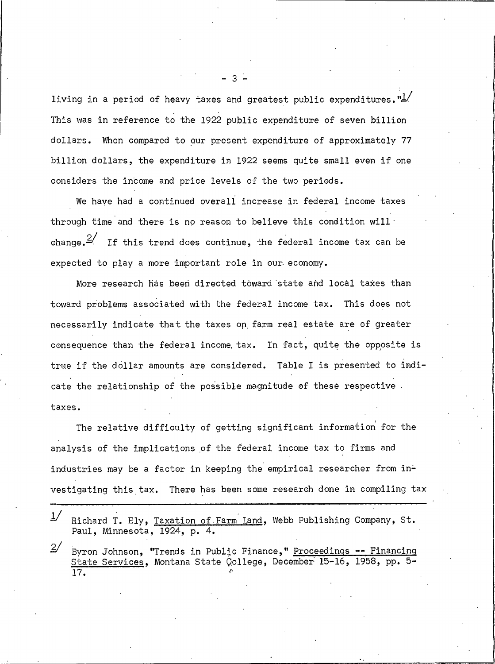living in a period of heavy taxes and greatest public expenditures. " $\frac{1}{2}$ This was in reference to the 1922 public expenditure of seven billion dollars. When compared to our present expenditure of approximately 77 billion dollars, the expenditure in 1922 seems quite small even if one considers the income and price levels of the two periods.

We have had a continued overall increase in federal income taxes through time and there is no reason to believe this condition will change.  $\frac{2}{\pi}$  If this trend does continue, the federal income tax can be expected to play a more important role in our economy.

More research has been directed toward state and local taxes than toward problems associated with the federal income tax. This does not necessarily indicate that the taxes on farm real estate are of greater consequence than the federal income tax. In fact, quite the opposite is true if the dollar amounts are considered. Table I is presented to indicate the relationship of the possible magnitude of these respective taxes.

The relative difficulty of getting significant information for the analysis of the implications of the federal income tax to firms and industries may be a factor in keeping the empirical researcher from investigating this tax. There has been some research done in compiling tax

|           | Paul, Minnesota, 1924, p. 4. | $\frac{1}{2}$ Richard T. Ely, Taxation of Farm Land, Webb Publishing Company, St. |  |  |
|-----------|------------------------------|-----------------------------------------------------------------------------------|--|--|
| $\circ$ / |                              |                                                                                   |  |  |

Byron Johnson, "Trends in Public Finance," Proceedings -- Financing ⊿ State Services, Montana State College, December 15-16, 1958, pp. 5- $\overline{17}$ .

 $\overline{3}$   $\overline{2}$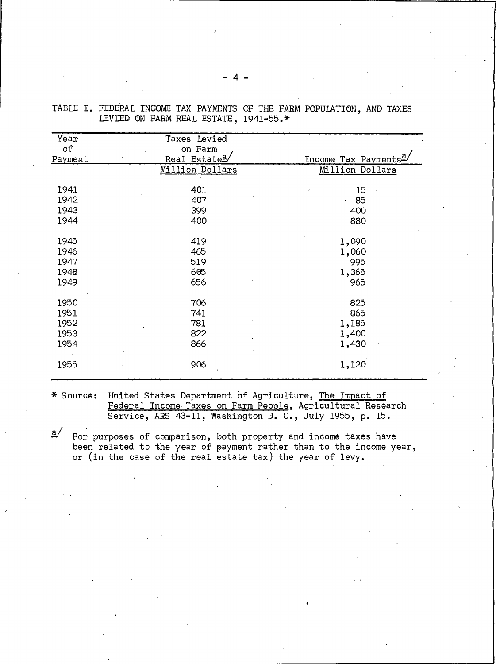| Year    | Taxes Levied                |                                  |
|---------|-----------------------------|----------------------------------|
| of      | on Farm                     |                                  |
| Payment | Real Estate <sup>a</sup> /  | Income Tax Payments <sup>a</sup> |
|         | Million Dollars             | Million Dollars                  |
| 1941    | 401                         | 15                               |
| 1942    | 407                         | 85<br>$\mathbf{r}$               |
| 1943    | 399                         | 400                              |
| 1944    | 400                         | 880                              |
| 1945    | 419                         | 1,090                            |
| 1946    | 465                         | 1,060                            |
| 1947    | 519                         | 995                              |
| 1948    | 605                         | 1,365                            |
| 1949    | 656                         | 965                              |
| 1950    | 706                         | 825                              |
| 1951    | 741                         | 865                              |
| 1952    | $\epsilon_{\rm{in}}$<br>781 | 1,185                            |
| 1953    | 822                         | 1,400                            |
| 1954    | 866                         | 1,430                            |
| 1955    | 906                         | 1,120                            |

TABLE I. FEDERAL INCOME TAX PAYMENTS OF THE FARM POPULATION, AND TAXES LEVIED ON FARM REAL ESTATE, 1941-55.\*

\* Source: United States Department of Agriculture, The Impact of Federal Income Taxes on Farm People, Agricultural Research Service, ARS 43-11, Washington D. C., July 1955, p. 15.

 $\mathbf{a}$ For purposes of comparison, both property and income taxes have been related to the year of payment rather than to the income year, or (in the case of the real estate tax) the year of levy.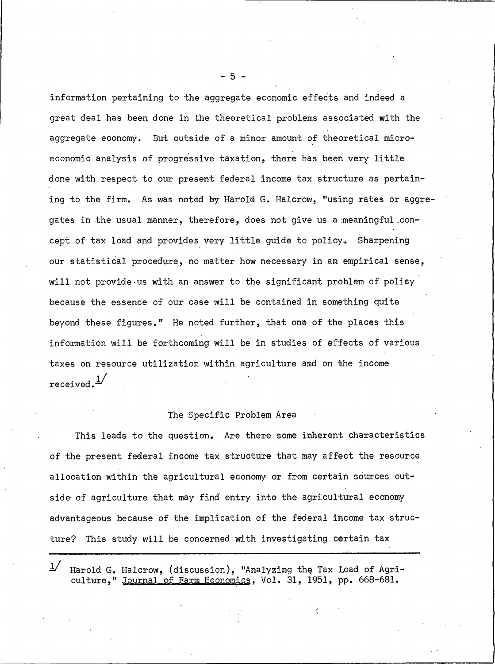information pertaining to the aggregate economic effects and indeed a great deal has been done in the theoretical problems associated with the aggregate economy. But outside of a minor amount of theoretical microeconomic analysis of progressive taxation, there has been very little done with respect to our present federal income tax structure as pertaining to the firm. As was noted by Harold G. Halcrow, "using rates or aggregates in the usual manner, therefore, does not give us a meaningful concept of tax load and provides very little quide to policy. Sharpening our statistical procedure, no matter how necessary in an empirical sense, will not provide us with an answer to the significant problem of policy because the essence of our case will be contained in something quite beyond these figures." He noted further, that one of the places this information will be forthcoming will be in studies of effects of various taxes on resource utilization within agriculture and on the income received. 4

## The Specific Problem Area

This leads to the question. Are there some inherent characteristics of the present federal income tax structure that may affect the resource allocation within the agricultural economy or from certain sources outside of agriculture that may find entry into the agricultural economy advantageous because of the implication of the federal income tax structure? This study will be concerned with investigating certain tax

Harold G. Halcrow, (discussion), "Analyzing the Tax Load of Agriculture." Journal of Farm Economics, Vol. 31, 1951, pp. 668-681.

 $-5 -$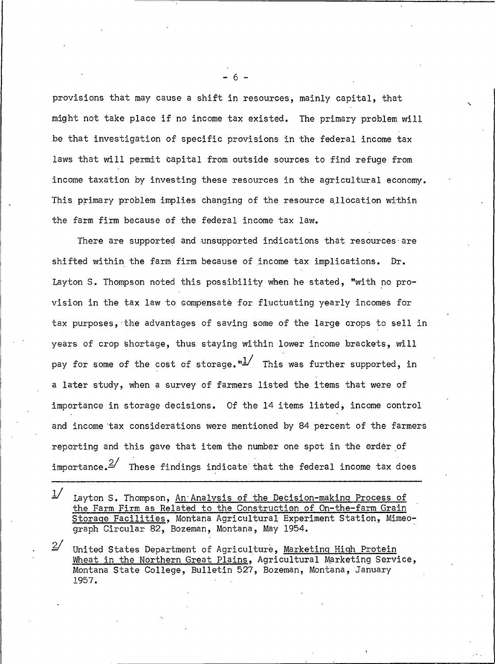provisions that may cause a shift in resources, mainly capital, that might not take place if no income tax existed. The primary problem will be that investigation of specific provisions in the federal income tax laws that will permit capital from outside sources to find refuge from income taxation by investing these resources in the agricultural economy. This primary problem implies changing of the resource allocation within the farm firm because of the federal income tax law.

There are supported and unsupported indications that resources are shifted within the farm firm because of income tax implications. Dr. Layton S. Thompson noted this possibility when he stated, "with no provision in the tax law to compensate for fluctuating yearly incomes for tax purposes, the advantages of saving some of the large crops to sell in years of crop shortage, thus staying within lower income brackets, will pay for some of the cost of storage." $\frac{1}{2}$  This was further supported, in a later study, when a survey of farmers listed the items that were of importance in storage decisions. Of the 14 items listed, income control and income tax considerations were mentioned by 84 percent of the farmers reporting and this gave that item the number one spot in the order of importance.  $2'$  These findings indicate that the federal income tax does

 $1/$ Layton S. Thompson, An Analysis of the Decision-making Process of the Farm Firm as Related to the Construction of On-the-farm Grain Storage Facilities, Montana Agricultural Experiment Station, Mimeograph Circular 82, Bozeman, Montana, May 1954.

 $2/$ United States Department of Agriculture, Marketing High Protein Wheat in the Northern Great Plains, Agricultural Marketing Service, Montana State College, Bulletin 527, Bozeman, Montana, January 1957.

- 6 -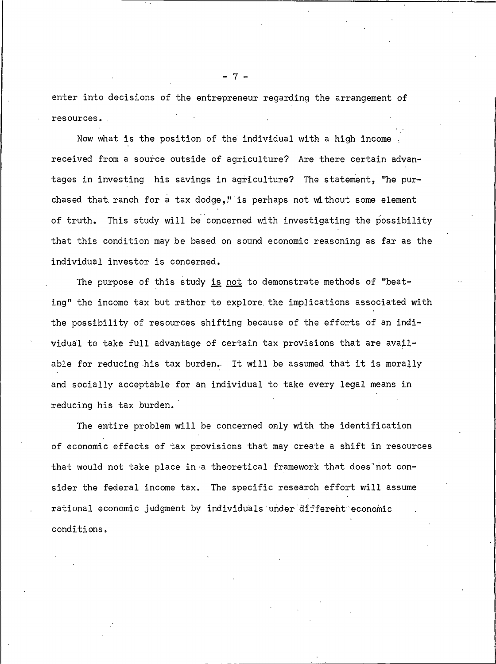enter into decisions of the entrepreneur regarding the arrangement of resources.

Now what is the position of the individual with a high income. received from a source outside of agriculture? Are there certain advantages in investing his savings in agriculture? The statement, "he purchased that ranch for a tax dodge," is perhaps not without some element of truth. This study will be concerned with investigating the possibility that this condition may be based on sound economic reasoning as far as the individual investor is concerned.

The purpose of this study is not to demonstrate methods of "beating" the income tax but rather to explore the implications associated with the possibility of resources shifting because of the efforts of an individual to take full advantage of certain tax provisions that are available for reducing his tax burden. It will be assumed that it is morally and socially acceptable for an individual to take every legal means in reducing his tax burden.

The entire problem will be concerned only with the identification of economic effects of tax provisions that may create a shift in resources that would not take place in a theoretical framework that does not consider the federal income tax. The specific research effort will assume rational economic judgment by individuals under different economic conditions.

 $7 -$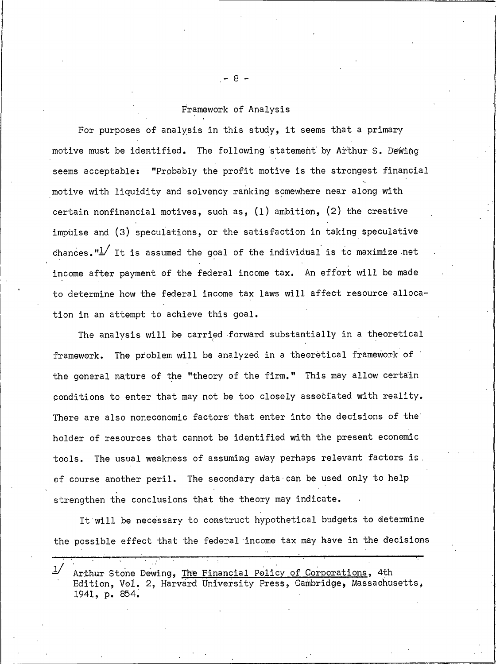## Framework of Analysis

For purposes of analysis in this study, it seems that a primary motive must be identified. The following statement by Arthur S. Dewing seems acceptable: "Probably the profit motive is the strongest financial motive with liquidity and solvency ranking somewhere near along with certain nonfinancial motives, such as,  $(1)$  ambition,  $(2)$  the creative impulse and (3) speculations, or the satisfaction in taking speculative chances. " $\frac{1}{2}$  It is assumed the goal of the individual is to maximize net income after payment of the federal income tax. An effort will be made to determine how the federal income tax laws will affect resource allocation in an attempt to achieve this goal.

The analysis will be carried forward substantially in a theoretical framework. The problem will be analyzed in a theoretical framework of the general nature of the "theory of the firm." This may allow certain conditions to enter that may not be too closely associated with reality. There are also noneconomic factors that enter into the decisions of the holder of resources that cannot be identified with the present economic The usual weakness of assuming away perhaps relevant factors is. tools. of course another peril. The secondary data can be used only to help strengthen the conclusions that the theory may indicate.

It will be necessary to construct hypothetical budgets to determine the possible effect that the federal income tax may have in the decisions

Arthur Stone Dewing, The Financial Policy of Corporations, 4th Edition, Vol. 2, Harvard University Press, Cambridge, Massachusetts, 1941, p. 854.

- 8 -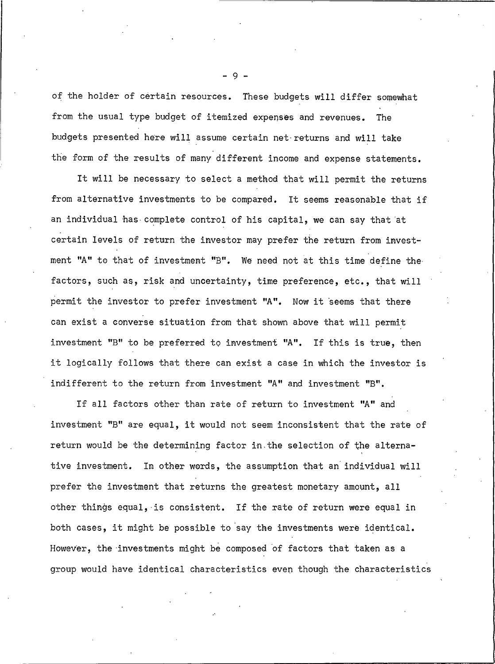of the holder of certain resources. These budgets will differ somewhat from the usual type budget of itemized expenses and revenues. The budgets presented here will assume certain net returns and will take the form of the results of many different income and expense statements.

It will be necessary to select a method that will permit the returns from alternative investments to be compared. It seems reasonable that if an individual has complete control of his capital, we can say that at certain levels of return the investor may prefer the return from investment "A" to that of investment "B". We need not at this time define the factors, such as, risk and uncertainty, time preference, etc., that will permit the investor to prefer investment "A". Now it seems that there can exist a converse situation from that shown above that will permit investment "B" to be preferred to investment "A". If this is true, then it logically follows that there can exist a case in which the investor is indifferent to the return from investment "A" and investment "B".

If all factors other than rate of return to investment "A" and investment "B" are equal, it would not seem inconsistent that the rate of return would be the determining factor in the selection of the alternative investment. In other words, the assumption that an individual will prefer the investment that returns the greatest monetary amount, all other things equal, is consistent. If the rate of return were equal in both cases, it might be possible to say the investments were identical. However, the investments might be composed of factors that taken as a group would have identical characteristics even though the characteristics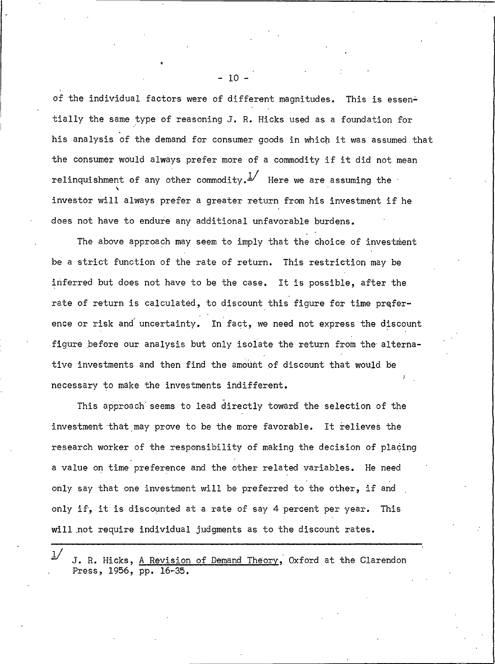of the individual factors were of different magnitudes. This is essentially the same type of reasoning J. R. Hicks used as a foundation for his analysis of the demand for consumer goods in which it was assumed that the consumer would always prefer more of a commodity if it did not mean relinquishment of any other commodity.  $\frac{1}{1}$  Here we are assuming the investor will always prefer a greater return from his investment if he does not have to endure any additional unfavorable burdens.

The above approach may seem to imply that the choice of investment be a strict function of the rate of return. This restriction may be inferred but does not have to be the case. It is possible, after the rate of return is calculated, to discount this figure for time preference or risk and uncertainty. In fact, we need not express the discount figure before our analysis but only isolate the return from the alternative investments and then find the amount of discount that would be necessary to make the investments indifferent.

This approach seems to lead directly toward the selection of the investment that may prove to be the more favorable. It relieves the research worker of the responsibility of making the decision of placing a value on time preference and the other related variables. He need only say that one investment will be preferred to the other, if and only if, it is discounted at a rate of say 4 percent per year. This will not require individual judgments as to the discount rates.

 $-10 -$ 

 $1/$ J. R. Hicks, A Revision of Demand Theory, Oxford at the Clarendon Press, 1956, pp. 16-35.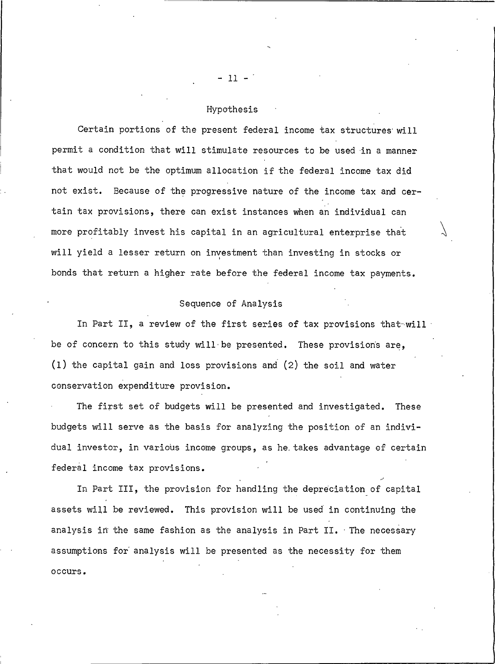## Hypothesis

Certain portions of the present federal income tax structures will permit a condition that will stimulate resources to be used in a manner that would not be the optimum allocation if the federal income tax did not exist. Because of the progressive nature of the income tax and certain tax provisions, there can exist instances when an individual can more profitably invest his capital in an agricultural enterprise that will yield a lesser return on investment than investing in stocks or bonds that return a higher rate before the federal income tax payments.

#### Sequence of Analysis

In Part II, a review of the first series of tax provisions that will be of concern to this study will be presented. These provisions are, (1) the capital gain and loss provisions and (2) the soil and water conservation expenditure provision.

The first set of budgets will be presented and investigated. These budgets will serve as the basis for analyzing the position of an individual investor, in various income groups, as he takes advantage of certain federal income tax provisions.

In Part III, the provision for handling the depreciation of capital assets will be reviewed. This provision will be used in continuing the analysis in the same fashion as the analysis in Part II. The necessary assumptions for analysis will be presented as the necessity for them occurs.

 $-11 -$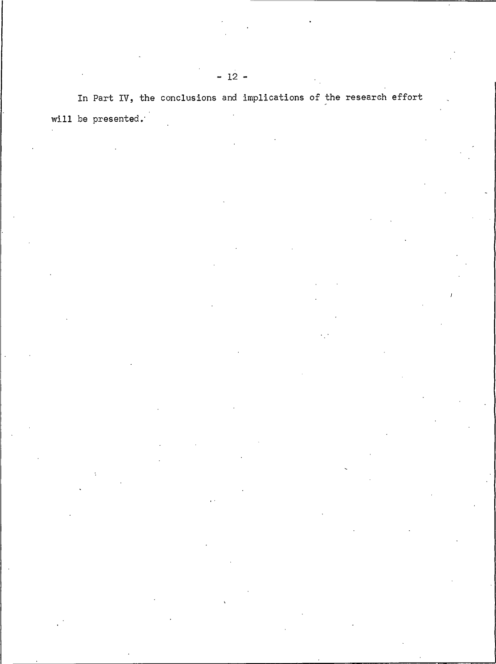In Part IV, the conclusions and implications of the research effort will be presented.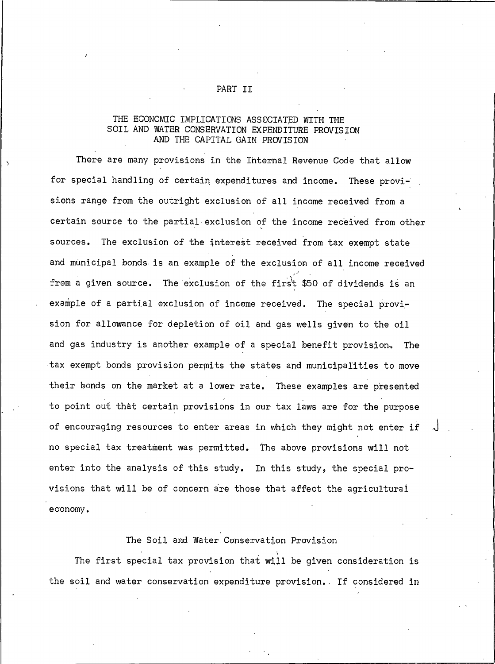# THE ECONOMIC IMPLICATIONS ASSOCIATED WITH THE SOIL AND WATER CONSERVATION EXPENDITURE PROVISION

AND THE CAPITAL GAIN PROVISION

There are many provisions in the Internal Revenue Code that allow for special handling of certain expenditures and income. These provisions range from the outright exclusion of all income received from a certain source to the partial exclusion of the income received from other sources. The exclusion of the interest received from tax exempt state and municipal bonds is an example of the exclusion of all income received from a given source. The exclusion of the first \$50 of dividends is an example of a partial exclusion of income received. The special provision for allowance for depletion of oil and gas wells given to the oil and gas industry is another example of a special benefit provision. The tax exempt bonds provision permits the states and municipalities to move their bonds on the market at a lower rate. These examples are presented to point out that certain provisions in our tax laws are for the purpose of encouraging resources to enter areas in which they might not enter if no special tax treatment was permitted. The above provisions will not enter into the analysis of this study. In this study, the special provisions that will be of concern are those that affect the agricultural economy.

#### The Soil and Water Conservation Provision

The first special tax provision that will be given consideration is the soil and water conservation expenditure provision. If considered in

### PART II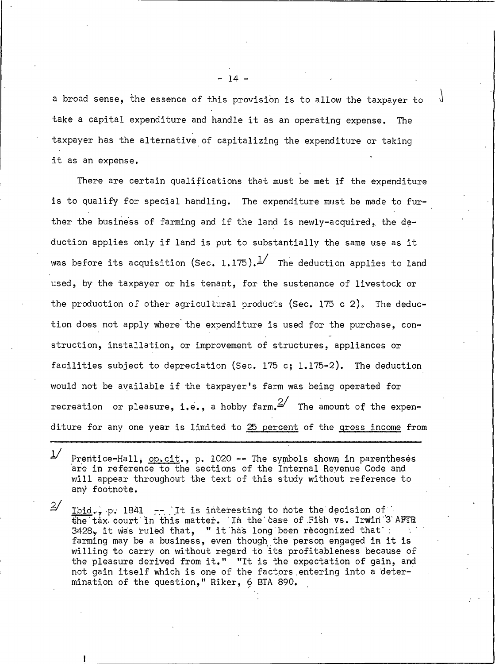a broad sense, the essence of this provision is to allow the taxpayer to take a capital expenditure and handle it as an operating expense. The taxpayer has the alternative of capitalizing the expenditure or taking it as an expense.

There are certain qualifications that must be met if the expenditure is to qualify for special handling. The expenditure must be made to further the business of farming and if the land is newly-acquired, the deduction applies only if land is put to substantially the same use as it was before its acquisition (Sec. 1.175).  $\frac{1}{2}$  The deduction applies to land used, by the taxpayer or his tenant, for the sustenance of livestock or the production of other agricultural products (Sec. 175 c 2). The deduction does not apply where the expenditure is used for the purchase, construction, installation, or improvement of structures, appliances or facilities subject to depreciation (Sec. 175 c; 1.175-2). The deduction would not be available if the taxpayer's farm was being operated for recreation or pleasure, i.e., a hobby farm,  $\frac{2}{\ }$  The amount of the expenditure for any one year is limited to 25 percent of the gross income from

 $1/$ Prentice-Hall, op.cit., p. 1020 -- The symbols shown in parentheses are in reference to the sections of the Internal Revenue Code and will appear throughout the text of this study without reference to any footnote.

 $2/$ Ibid., p. 1841 -- It is interesting to note the decision of the tax court in this matter. In the case of Fish vs. Irwin 3 AFTR 3428, it was ruled that, " it has long been recognized that : farming may be a business, even though the person engaged in it is willing to carry on without regard to its profitableness because of the pleasure derived from it." "It is the expectation of gain, and not gain itself which is one of the factors entering into a determination of the question," Riker, 6 BTA 890.

- 14 -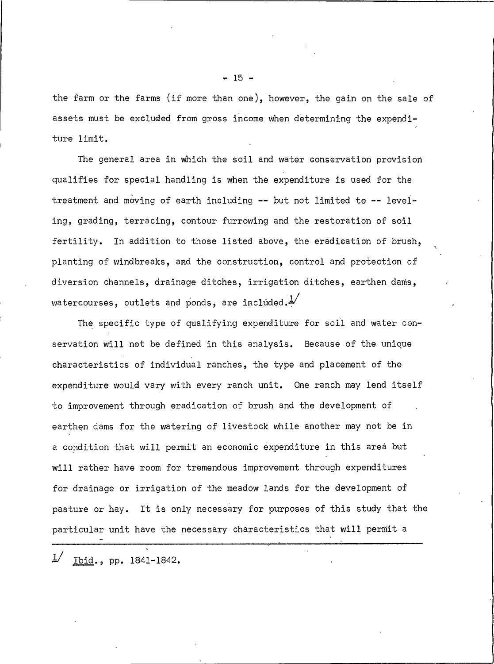the farm or the farms (if more than one), however, the gain on the sale of assets must be excluded from gross income when determining the expenditure limit.

The general area in which the soil and water conservation provision qualifies for special handling is when the expenditure is used for the treatment and moving of earth including -- but not limited to -- leveling, grading, terracing, contour furrowing and the restoration of soil fertility. In addition to those listed above, the eradication of brush, planting of windbreaks, and the construction, control and protection of diversion channels, drainage ditches, irrigation ditches, earthen dams, watercourses, outlets and ponds, are included. $\frac{1}{2}$ 

The specific type of qualifying expenditure for soil and water conservation will not be defined in this analysis. Because of the unique characteristics of individual ranches, the type and placement of the expenditure would vary with every ranch unit. One ranch may lend itself to improvement through eradication of brush and the development of earthen dams for the watering of livestock while another may not be in a condition that will permit an economic expenditure in this area but will rather have room for tremendous improvement through expenditures for drainage or irrigation of the meadow lands for the development of pasture or hay. It is only necessary for purposes of this study that the particular unit have the necessary characteristics that will permit a

 $1/$ Ibid., pp. 1841-1842.  $-15 -$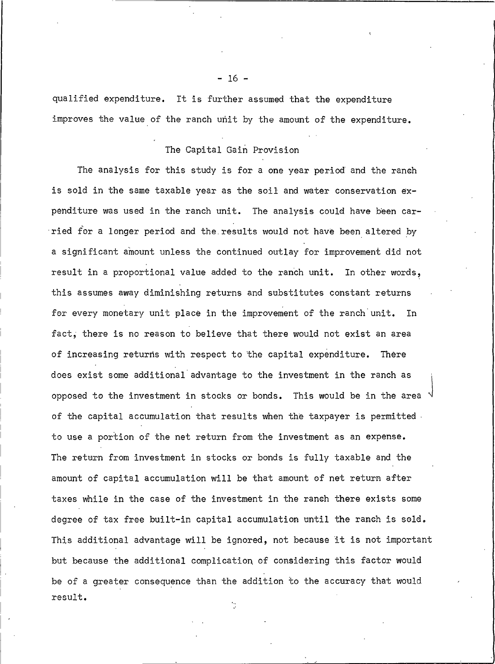qualified expenditure. It is further assumed that the expenditure improves the value of the ranch unit by the amount of the expenditure.

## The Capital Gain Provision

The analysis for this study is for a one year period and the ranch is sold in the same taxable year as the soil and water conservation expenditure was used in the ranch unit. The analysis could have been carried for a longer period and the results would not have been altered by a significant amount unless the continued outlay for improvement did not result in a proportional value added to the ranch unit. In other words, this assumes away diminishing returns and substitutes constant returns for every monetary unit place in the improvement of the ranch unit. In fact, there is no reason to believe that there would not exist an area of increasing returns with respect to the capital expenditure. Thère does exist some additional advantage to the investment in the ranch as opposed to the investment in stocks or bonds. This would be in the area of the capital accumulation that results when the taxpayer is permitted. to use a portion of the net return from the investment as an expense. The return from investment in stocks or bonds is fully taxable and the amount of capital accumulation will be that amount of net return after taxes while in the case of the investment in the ranch there exists some degree of tax free built-in capital accumulation until the ranch is sold. This additional advantage will be ignored, not because it is not important but because the additional complication of considering this factor would be of a greater consequence than the addition to the accuracy that would result.

 $-16 -$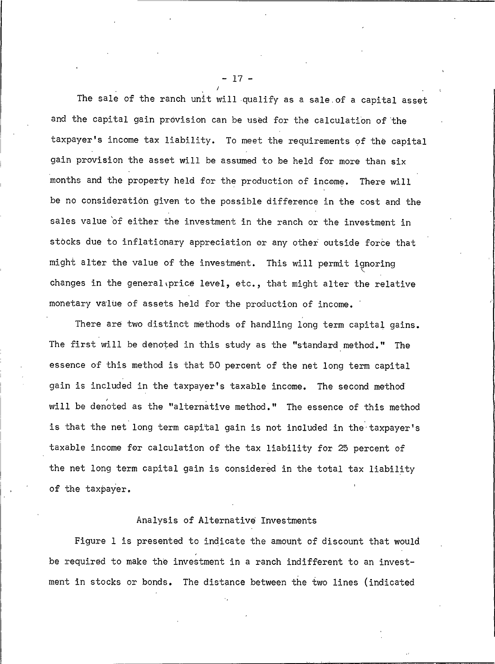The sale of the ranch unit will qualify as a sale of a capital asset and the capital gain provision can be used for the calculation of the taxpayer's income tax liability. To meet the requirements of the capital gain provision the asset will be assumed to be held for more than six months and the property held for the production of income. There will be no consideration given to the possible difference in the cost and the sales value of either the investment in the ranch or the investment in stocks due to inflationary appreciation or any other outside force that might alter the value of the investment. This will permit ignoring changes in the general price level, etc., that might alter the relative monetary value of assets held for the production of income.

There are two distinct methods of handling long term capital gains. The first will be denoted in this study as the "standard method." The essence of this method is that 50 percent of the net long term capital gain is included in the taxpayer's taxable income. The second method will be denoted as the "alternative method." The essence of this method is that the net long term capital gain is not included in the taxpayer's taxable income for calculation of the tax liability for 25 percent of the net long term capital gain is considered in the total tax liability of the taxpaver.

## Analysis of Alternative Investments

Figure 1 is presented to indicate the amount of discount that would be required to make the investment in a ranch indifferent to an investment in stocks or bonds. The distance between the two lines (indicated

 $17.$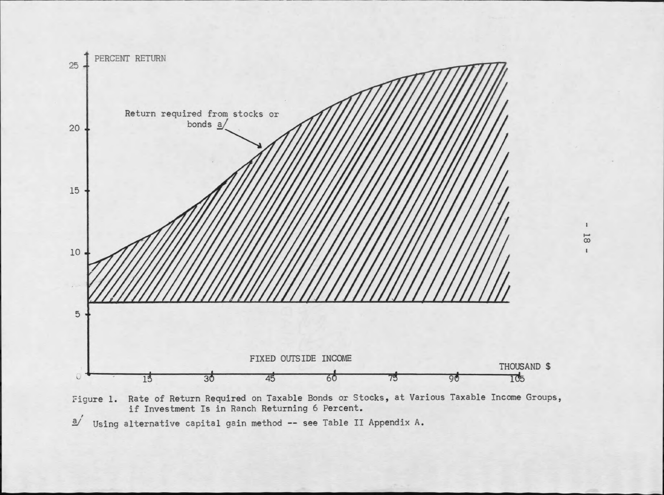



 $\mathbf{l}$  $18$  $\pmb{\mathfrak{t}}$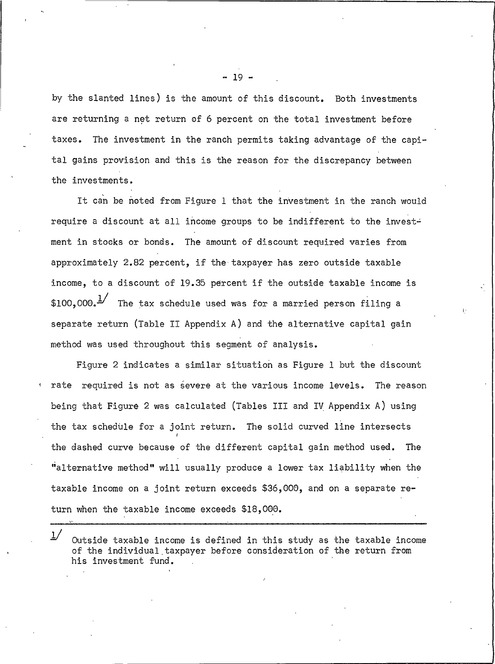by the slanted lines) is the amount of this discount. Both investments are returning a net return of 6 percent on the total investment before taxes. The investment in the ranch permits taking advantage of the capital gains provision and this is the reason for the discrepancy between the investments.

It can be noted from Figure 1 that the investment in the ranch would require a discount at all income groups to be indifferent to the investment in stocks or bonds. The amount of discount required varies from approximately 2.82 percent, if the taxpayer has zero outside taxable income, to a discount of 19.35 percent if the outside taxable income is \$100.000. $\frac{1}{2}$  The tax schedule used was for a married person filing a separate return (Table II Appendix A) and the alternative capital gain method was used throughout this segment of analysis.

Figure 2 indicates a similar situation as Figure 1 but the discount rate required is not as severe at the various income levels. The reason being that Figure 2 was calculated (Tables III and IV Appendix A) using the tax schedule for a joint return. The solid curved line intersects the dashed curve because of the different capital gain method used. The "alternative method" will usually produce a lower tax liability when the taxable income on a joint return exceeds \$36,000, and on a separate return when the taxable income exceeds \$18,000.

 $1/$ Outside taxable income is defined in this study as the taxable income of the individual taxpayer before consideration of the return from his investment fund.

 $-19$ .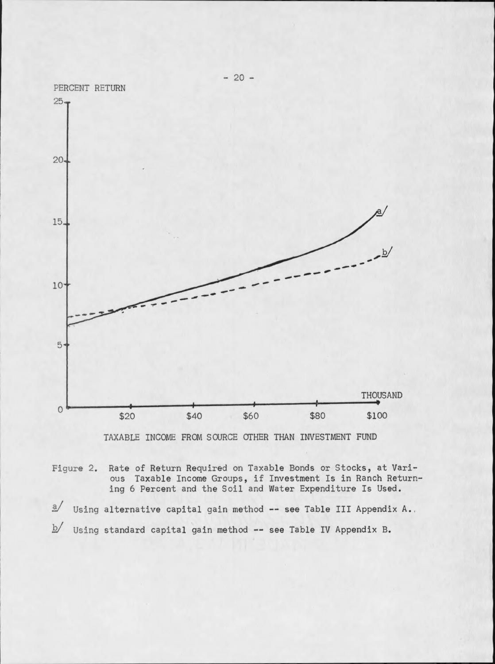

TAXABLE INCOME FROM SOURCE OTHER THAN INVESTMENT FUND

Figure 2. Rate of Return Required on Taxable Bonds or Stocks, at Various Taxable Income Groups, if Investment Is in Ranch Returning 6 Percent and the Soil and Water Expenditure Is Used.

 $\mathbf{a}$ Using alternative capital gain method -- see Table III Appendix A..  $\overline{p}$ Using standard capital gain method -- see Table IV Appendix B.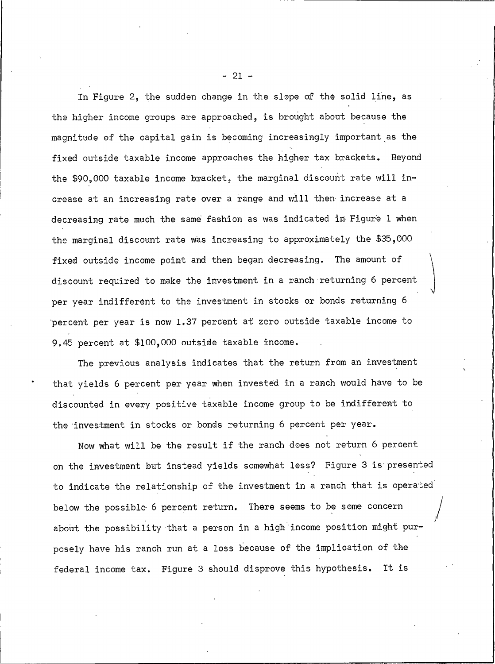In Figure 2, the sudden change in the slope of the solid line, as the higher income groups are approached, is brought about because the magnitude of the capital gain is becoming increasingly important as the fixed outside taxable income approaches the higher tax brackets. Beyond the \$90,000 taxable income bracket, the marginal discount rate will increase at an increasing rate over a range and will then increase at a decreasing rate much the same fashion as was indicated in Figure 1 when the marginal discount rate was increasing to approximately the \$35,000 fixed outside income point and then began decreasing. The amount of discount required to make the investment in a ranch returning 6 percent per year indifferent to the investment in stocks or bonds returning 6 percent per year is now 1.37 percent at zero outside taxable income to 9.45 percent at \$100,000 outside taxable income.

The previous analysis indicates that the return from an investment that yields 6 percent per year when invested in a ranch would have to be discounted in every positive taxable income group to be indifferent to the investment in stocks or bonds returning 6 percent per year.

Now what will be the result if the ranch does not return 6 percent on the investment but instead yields somewhat less? Figure 3 is presented to indicate the relationship of the investment in a ranch that is operated below the possible 6 percent return. There seems to be some concern about the possibility that a person in a high income position might purposely have his ranch run at a loss because of the implication of the federal income tax. Figure 3 should disprove this hypothesis. It is

 $-21 -$